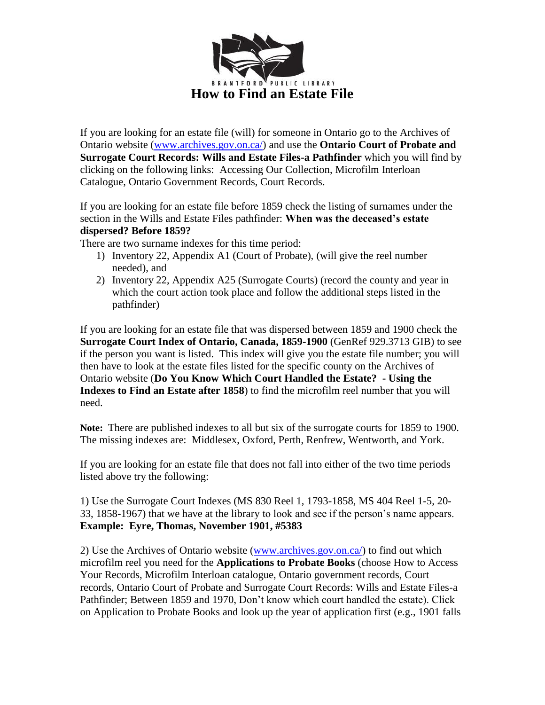

If you are looking for an estate file (will) for someone in Ontario go to the Archives of Ontario website [\(www.archives.gov.on.ca/\)](http://www.archives.gov.on.ca/) and use the **Ontario Court of Probate and Surrogate Court Records: Wills and Estate Files-a Pathfinder** which you will find by clicking on the following links: Accessing Our Collection, Microfilm Interloan Catalogue, Ontario Government Records, Court Records.

If you are looking for an estate file before 1859 check the listing of surnames under the section in the Wills and Estate Files pathfinder: **When was the deceased's estate dispersed? Before 1859?**

There are two surname indexes for this time period:

- 1) Inventory 22, Appendix A1 (Court of Probate), (will give the reel number needed), and
- 2) Inventory 22, Appendix A25 (Surrogate Courts) (record the county and year in which the court action took place and follow the additional steps listed in the pathfinder)

If you are looking for an estate file that was dispersed between 1859 and 1900 check the **Surrogate Court Index of Ontario, Canada, 1859-1900** (GenRef 929.3713 GIB) to see if the person you want is listed. This index will give you the estate file number; you will then have to look at the estate files listed for the specific county on the Archives of Ontario website (**Do You Know Which Court Handled the Estate? - Using the Indexes to Find an Estate after 1858**) to find the microfilm reel number that you will need.

**Note:** There are published indexes to all but six of the surrogate courts for 1859 to 1900. The missing indexes are: Middlesex, Oxford, Perth, Renfrew, Wentworth, and York.

If you are looking for an estate file that does not fall into either of the two time periods listed above try the following:

1) Use the Surrogate Court Indexes (MS 830 Reel 1, 1793-1858, MS 404 Reel 1-5, 20- 33, 1858-1967) that we have at the library to look and see if the person's name appears. **Example: Eyre, Thomas, November 1901, #5383**

2) Use the Archives of Ontario website [\(www.archives.gov.on.ca/\)](http://www.archives.gov.on.ca/) to find out which microfilm reel you need for the **Applications to Probate Books** (choose How to Access Your Records, Microfilm Interloan catalogue, Ontario government records, Court records, Ontario Court of Probate and Surrogate Court Records: Wills and Estate Files-a Pathfinder; Between 1859 and 1970, Don't know which court handled the estate). Click on Application to Probate Books and look up the year of application first (e.g., 1901 falls